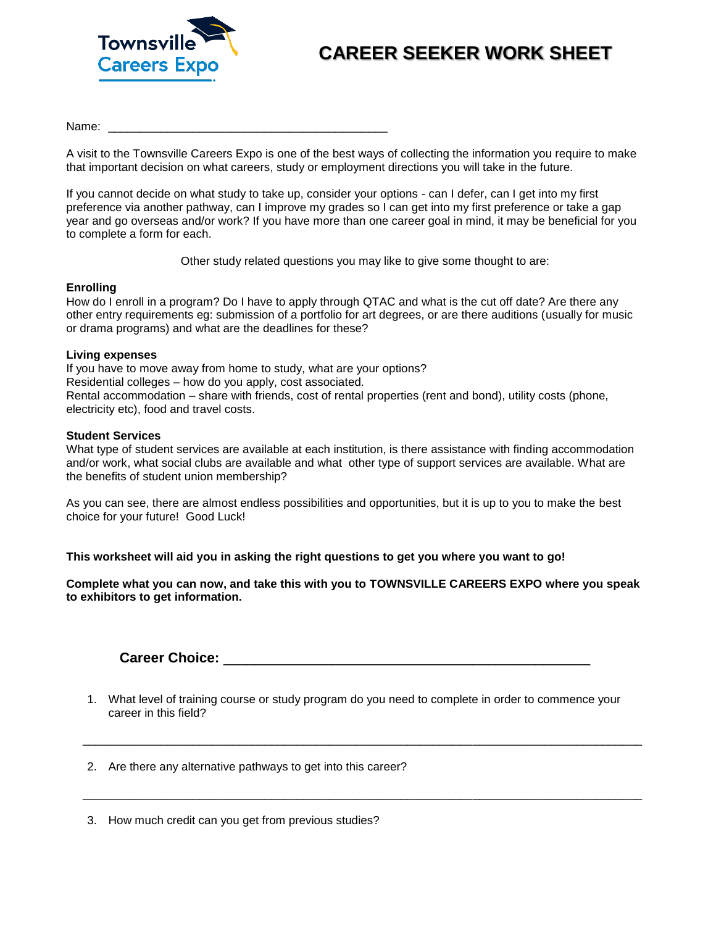

## **CAREER SEEKER WORK SHEET**

Name: \_\_\_\_\_\_\_\_\_\_\_\_\_\_\_\_\_\_\_\_\_\_\_\_\_\_\_\_\_\_\_\_\_\_\_\_\_\_\_\_\_\_\_

A visit to the Townsville Careers Expo is one of the best ways of collecting the information you require to make that important decision on what careers, study or employment directions you will take in the future.

If you cannot decide on what study to take up, consider your options - can I defer, can I get into my first preference via another pathway, can I improve my grades so I can get into my first preference or take a gap year and go overseas and/or work? If you have more than one career goal in mind, it may be beneficial for you to complete a form for each.

Other study related questions you may like to give some thought to are:

## **Enrolling**

How do I enroll in a program? Do I have to apply through QTAC and what is the cut off date? Are there any other entry requirements eg: submission of a portfolio for art degrees, or are there auditions (usually for music or drama programs) and what are the deadlines for these?

## **Living expenses**

If you have to move away from home to study, what are your options? Residential colleges – how do you apply, cost associated. Rental accommodation – share with friends, cost of rental properties (rent and bond), utility costs (phone, electricity etc), food and travel costs.

## **Student Services**

What type of student services are available at each institution, is there assistance with finding accommodation and/or work, what social clubs are available and what other type of support services are available. What are the benefits of student union membership?

As you can see, there are almost endless possibilities and opportunities, but it is up to you to make the best choice for your future! Good Luck!

**This worksheet will aid you in asking the right questions to get you where you want to go!** 

**Complete what you can now, and take this with you to TOWNSVILLE CAREERS EXPO where you speak to exhibitors to get information.**

**Career Choice:** \_\_\_\_\_\_\_\_\_\_\_\_\_\_\_\_\_\_\_\_\_\_\_\_\_\_\_\_\_\_\_\_\_\_\_\_\_\_\_\_\_\_\_\_\_\_\_

1. What level of training course or study program do you need to complete in order to commence your career in this field?

\_\_\_\_\_\_\_\_\_\_\_\_\_\_\_\_\_\_\_\_\_\_\_\_\_\_\_\_\_\_\_\_\_\_\_\_\_\_\_\_\_\_\_\_\_\_\_\_\_\_\_\_\_\_\_\_\_\_\_\_\_\_\_\_\_\_\_\_\_\_\_\_\_\_\_\_\_\_\_\_\_\_\_\_\_\_

\_\_\_\_\_\_\_\_\_\_\_\_\_\_\_\_\_\_\_\_\_\_\_\_\_\_\_\_\_\_\_\_\_\_\_\_\_\_\_\_\_\_\_\_\_\_\_\_\_\_\_\_\_\_\_\_\_\_\_\_\_\_\_\_\_\_\_\_\_\_\_\_\_\_\_\_\_\_\_\_\_\_\_\_\_\_

2. Are there any alternative pathways to get into this career?

3. How much credit can you get from previous studies?